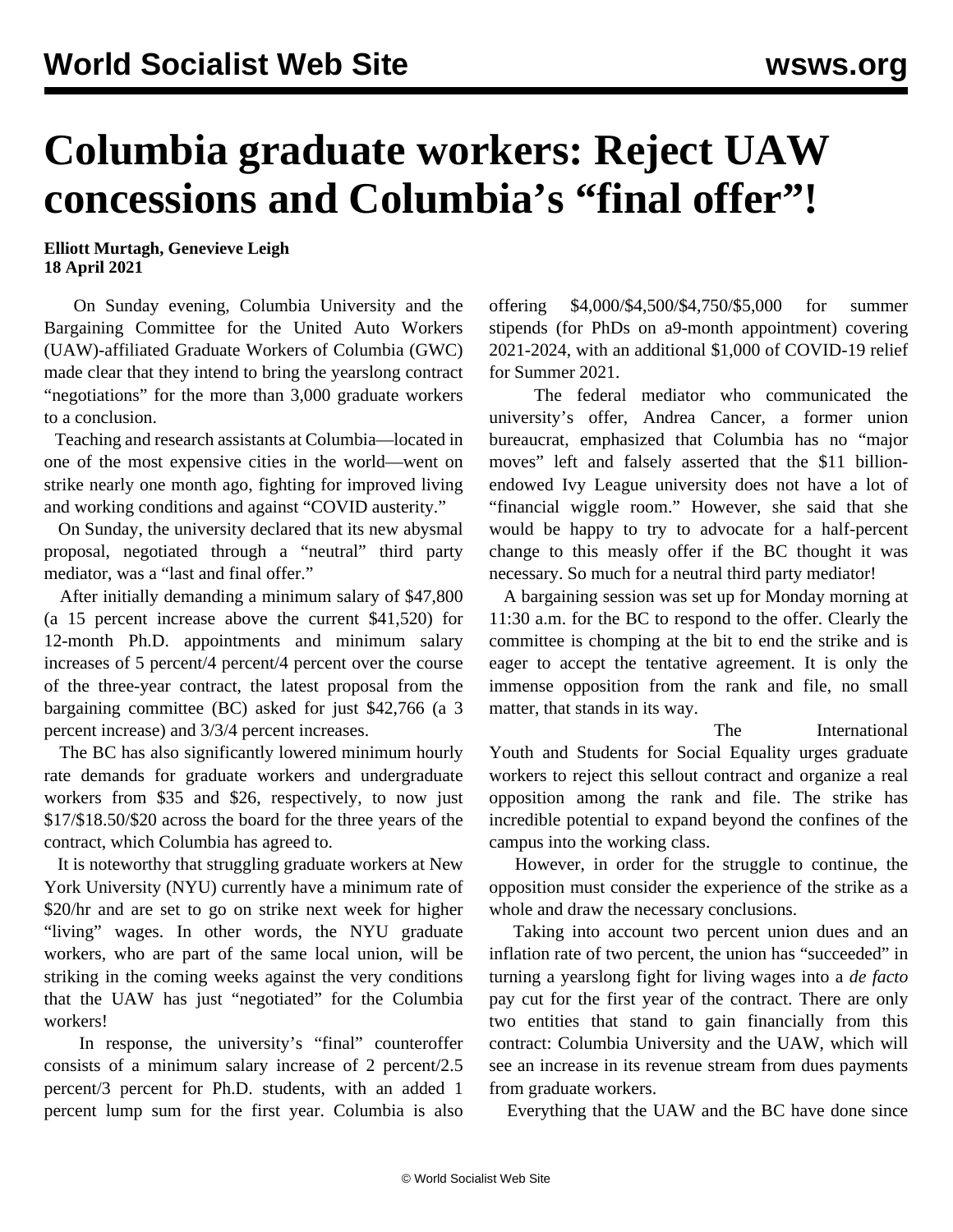## **Columbia graduate workers: Reject UAW concessions and Columbia's "final offer"!**

**Elliott Murtagh, Genevieve Leigh 18 April 2021**

 On Sunday evening, Columbia University and the Bargaining Committee for the United Auto Workers (UAW)-affiliated Graduate Workers of Columbia (GWC) made clear that they intend to bring the yearslong contract "negotiations" for the more than 3,000 graduate workers to a conclusion.

 Teaching and research assistants at Columbia—located in one of the most expensive cities in the world—went on strike nearly one month ago, fighting for improved living and working conditions and against "COVID austerity."

 On Sunday, the university declared that its new abysmal proposal, negotiated through a "neutral" third party mediator, was a "last and final offer."

 After initially demanding a minimum salary of \$47,800 (a 15 percent increase above the current \$41,520) for 12-month Ph.D. appointments and minimum salary increases of 5 percent/4 percent/4 percent over the course of the three-year contract, the latest proposal from the bargaining committee (BC) asked for just \$42,766 (a 3 percent increase) and 3/3/4 percent increases.

 The BC has also significantly lowered minimum hourly rate demands for graduate workers and undergraduate workers from \$35 and \$26, respectively, to now just \$17/\$18.50/\$20 across the board for the three years of the contract, which Columbia has agreed to.

 It is noteworthy that struggling graduate workers at New York University (NYU) currently have a minimum rate of \$20/hr and are set to go on strike next week for higher "living" wages. In other words, the NYU graduate workers, who are part of the same local union, will be striking in the coming weeks against the very conditions that the UAW has just "negotiated" for the Columbia workers!

 In response, the university's "final" counteroffer consists of a minimum salary increase of 2 percent/2.5 percent/3 percent for Ph.D. students, with an added 1 percent lump sum for the first year. Columbia is also offering \$4,000/\$4,500/\$4,750/\$5,000 for summer stipends (for PhDs on a9-month appointment) covering 2021-2024, with an additional \$1,000 of COVID-19 relief for Summer 2021.

 The federal mediator who communicated the university's offer, Andrea Cancer, a former union bureaucrat, emphasized that Columbia has no "major moves" left and [falsely](/en/articles/2021/04/16/cash-a16.html) asserted that the \$11 billionendowed Ivy League university does not have a lot of "financial wiggle room." However, she said that she would be happy to try to advocate for a half-percent change to this measly offer if the BC thought it was necessary. So much for a neutral third party mediator!

 A bargaining session was set up for Monday morning at 11:30 a.m. for the BC to respond to the offer. Clearly the committee is chomping at the bit to end the strike and is eager to accept the tentative agreement. It is only the immense opposition from the rank and file, no small matter, that stands in its way.

 The [International](http://iysse.com/) [Youth and Students for Social Equality](http://iysse.com/) urges graduate workers to reject this sellout contract and organize a real opposition among the rank and file. The strike has incredible potential to expand beyond the confines of the campus into the working class.

 However, in order for the struggle to continue, the opposition must consider the experience of the strike as a whole and draw the necessary conclusions.

 Taking into account two percent union dues and an inflation rate of two percent, the union has "succeeded" in turning a yearslong fight for living wages into a *de facto* pay cut for the first year of the contract. There are only two entities that stand to gain financially from this contract: Columbia University and the UAW, which will see an increase in its revenue stream from dues payments from graduate workers.

Everything that the [UAW](/en/articles/2021/04/03/colu-a03.html) and the BC have done since